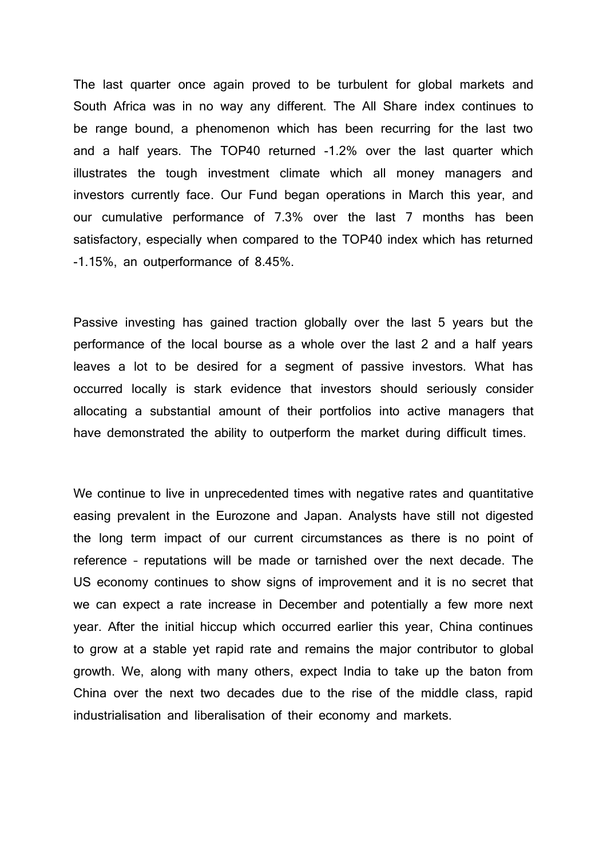The last quarter once again proved to be turbulent for global markets and South Africa was in no way any different. The All Share index continues to be range bound, a phenomenon which has been recurring for the last two and a half years. The TOP40 returned -1.2% over the last quarter which illustrates the tough investment climate which all money managers and investors currently face. Our Fund began operations in March this year, and our cumulative performance of 7.3% over the last 7 months has been satisfactory, especially when compared to the TOP40 index which has returned -1.15%, an outperformance of 8.45%.

Passive investing has gained traction globally over the last 5 years but the performance of the local bourse as a whole over the last 2 and a half years leaves a lot to be desired for a segment of passive investors. What has occurred locally is stark evidence that investors should seriously consider allocating a substantial amount of their portfolios into active managers that have demonstrated the ability to outperform the market during difficult times.

We continue to live in unprecedented times with negative rates and quantitative easing prevalent in the Eurozone and Japan. Analysts have still not digested the long term impact of our current circumstances as there is no point of reference – reputations will be made or tarnished over the next decade. The US economy continues to show signs of improvement and it is no secret that we can expect a rate increase in December and potentially a few more next year. After the initial hiccup which occurred earlier this year, China continues to grow at a stable yet rapid rate and remains the major contributor to global growth. We, along with many others, expect India to take up the baton from China over the next two decades due to the rise of the middle class, rapid industrialisation and liberalisation of their economy and markets.